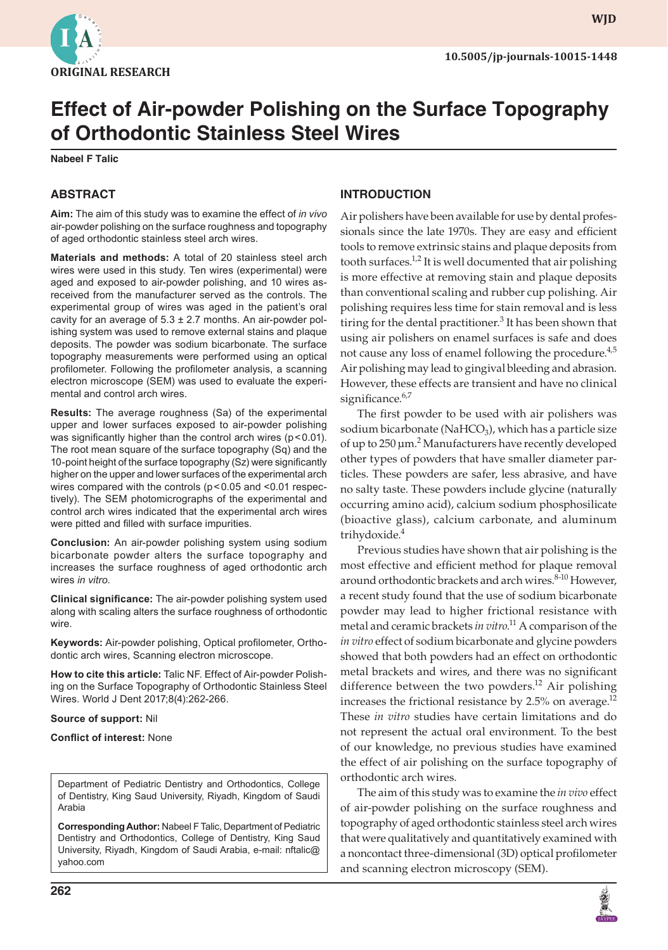

**wjd**

# **Effect of Air-powder Polishing on the Surface Topography of Orthodontic Stainless Steel Wires**

**Nabeel F Talic**

### **ABSTRACT**

**Aim:** The aim of this study was to examine the effect of *in vivo* air-powder polishing on the surface roughness and topography of aged orthodontic stainless steel arch wires.

**Materials and methods:** A total of 20 stainless steel arch wires were used in this study. Ten wires (experimental) were aged and exposed to air-powder polishing, and 10 wires asreceived from the manufacturer served as the controls. The experimental group of wires was aged in the patient's oral cavity for an average of  $5.3 \pm 2.7$  months. An air-powder polishing system was used to remove external stains and plaque deposits. The powder was sodium bicarbonate. The surface topography measurements were performed using an optical profilometer. Following the profilometer analysis, a scanning electron microscope (SEM) was used to evaluate the experimental and control arch wires.

**Results:** The average roughness (Sa) of the experimental upper and lower surfaces exposed to air-powder polishing was significantly higher than the control arch wires (p < 0.01). The root mean square of the surface topography (Sq) and the 10-point height of the surface topography (Sz) were significantly higher on the upper and lower surfaces of the experimental arch wires compared with the controls (p<0.05 and <0.01 respectively). The SEM photomicrographs of the experimental and control arch wires indicated that the experimental arch wires were pitted and filled with surface impurities.

**Conclusion:** An air-powder polishing system using sodium bicarbonate powder alters the surface topography and increases the surface roughness of aged orthodontic arch wires *in vitro.*

**Clinical significance:** The air-powder polishing system used along with scaling alters the surface roughness of orthodontic wire.

**Keywords:** Air-powder polishing, Optical profilometer, Orthodontic arch wires, Scanning electron microscope.

**How to cite this article:** Talic NF. Effect of Air-powder Polishing on the Surface Topography of Orthodontic Stainless Steel Wires. World J Dent 2017;8(4):262-266.

#### **Source of support:** Nil

**Conflict of interest:** None

Department of Pediatric Dentistry and Orthodontics, College of Dentistry, King Saud University, Riyadh, Kingdom of Saudi Arabia

**Corresponding Author:** Nabeel F Talic, Department of Pediatric Dentistry and Orthodontics, College of Dentistry, King Saud University, Riyadh, Kingdom of Saudi Arabia, e-mail: nftalic@ yahoo.com

# **INTRODUCTION**

Air polishers have been available for use by dental professionals since the late 1970s. They are easy and efficient tools to remove extrinsic stains and plaque deposits from tooth surfaces.<sup>1,2</sup> It is well documented that air polishing is more effective at removing stain and plaque deposits than conventional scaling and rubber cup polishing. Air polishing requires less time for stain removal and is less tiring for the dental practitioner. $3$  It has been shown that using air polishers on enamel surfaces is safe and does not cause any loss of enamel following the procedure.<sup>4,5</sup> Air polishing may lead to gingival bleeding and abrasion. However, these effects are transient and have no clinical significance.<sup>6,7</sup>

The first powder to be used with air polishers was sodium bicarbonate (NaHCO<sub>3</sub>), which has a particle size of up to 250 μm.<sup>2</sup> Manufacturers have recently developed other types of powders that have smaller diameter particles. These powders are safer, less abrasive, and have no salty taste. These powders include glycine (naturally occurring amino acid), calcium sodium phosphosilicate (bioactive glass), calcium carbonate, and aluminum trihydoxide.4

Previous studies have shown that air polishing is the most effective and efficient method for plaque removal around orthodontic brackets and arch wires.<sup>8-10</sup> However, a recent study found that the use of sodium bicarbonate powder may lead to higher frictional resistance with metal and ceramic brackets *in vitro*. 11 A comparison of the *in vitro* effect of sodium bicarbonate and glycine powders showed that both powders had an effect on orthodontic metal brackets and wires, and there was no significant difference between the two powders.<sup>12</sup> Air polishing increases the frictional resistance by 2.5% on average.<sup>12</sup> These *in vitro* studies have certain limitations and do not represent the actual oral environment. To the best of our knowledge, no previous studies have examined the effect of air polishing on the surface topography of orthodontic arch wires.

The aim of this study was to examine the *in vivo* effect of air-powder polishing on the surface roughness and topography of aged orthodontic stainless steel arch wires that were qualitatively and quantitatively examined with a noncontact three-dimensional (3D) optical profilometer and scanning electron microscopy (SEM).

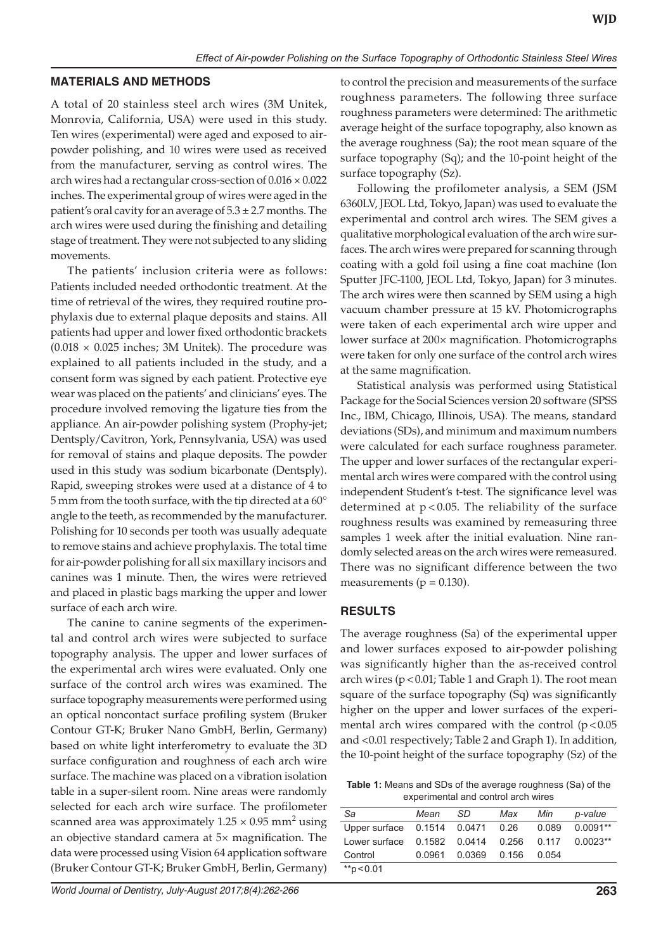#### **MATERIALS AND METHODS**

A total of 20 stainless steel arch wires (3M Unitek, Monrovia, California, USA) were used in this study. Ten wires (experimental) were aged and exposed to airpowder polishing, and 10 wires were used as received from the manufacturer, serving as control wires. The arch wires had a rectangular cross-section of  $0.016 \times 0.022$ inches. The experimental group of wires were aged in the patient's oral cavity for an average of  $5.3 \pm 2.7$  months. The arch wires were used during the finishing and detailing stage of treatment. They were not subjected to any sliding movements.

The patients' inclusion criteria were as follows: Patients included needed orthodontic treatment. At the time of retrieval of the wires, they required routine prophylaxis due to external plaque deposits and stains. All patients had upper and lower fixed orthodontic brackets  $(0.018 \times 0.025$  inches; 3M Unitek). The procedure was explained to all patients included in the study, and a consent form was signed by each patient. Protective eye wear was placed on the patients' and clinicians' eyes. The procedure involved removing the ligature ties from the appliance. An air-powder polishing system (Prophy-jet; Dentsply/Cavitron, York, Pennsylvania, USA) was used for removal of stains and plaque deposits. The powder used in this study was sodium bicarbonate (Dentsply). Rapid, sweeping strokes were used at a distance of 4 to 5 mm from the tooth surface, with the tip directed at a 60° angle to the teeth, as recommended by the manufacturer. Polishing for 10 seconds per tooth was usually adequate to remove stains and achieve prophylaxis. The total time for air-powder polishing for all six maxillary incisors and canines was 1 minute. Then, the wires were retrieved and placed in plastic bags marking the upper and lower surface of each arch wire.

The canine to canine segments of the experimental and control arch wires were subjected to surface topography analysis. The upper and lower surfaces of the experimental arch wires were evaluated. Only one surface of the control arch wires was examined. The surface topography measurements were performed using an optical noncontact surface profiling system (Bruker Contour GT-K; Bruker Nano GmbH, Berlin, Germany) based on white light interferometry to evaluate the 3D surface configuration and roughness of each arch wire surface. The machine was placed on a vibration isolation table in a super-silent room. Nine areas were randomly selected for each arch wire surface. The profilometer scanned area was approximately  $1.25 \times 0.95$  mm<sup>2</sup> using an objective standard camera at 5× magnification. The data were processed using Vision 64 application software (Bruker Contour GT-K; Bruker GmbH, Berlin, Germany)

to control the precision and measurements of the surface roughness parameters. The following three surface roughness parameters were determined: The arithmetic average height of the surface topography, also known as the average roughness (Sa); the root mean square of the surface topography (Sq); and the 10-point height of the surface topography (Sz).

Following the profilometer analysis, a SEM (JSM 6360LV, JEOL Ltd, Tokyo, Japan) was used to evaluate the experimental and control arch wires. The SEM gives a qualitative morphological evaluation of the arch wire surfaces. The arch wires were prepared for scanning through coating with a gold foil using a fine coat machine (Ion Sputter JFC-1100, JEOL Ltd, Tokyo, Japan) for 3 minutes. The arch wires were then scanned by SEM using a high vacuum chamber pressure at 15 kV. Photomicrographs were taken of each experimental arch wire upper and lower surface at 200× magnification. Photomicrographs were taken for only one surface of the control arch wires at the same magnification.

Statistical analysis was performed using Statistical Package for the Social Sciences version 20 software (SPSS Inc., IBM, Chicago, Illinois, USA). The means, standard deviations (SDs), and minimum and maximum numbers were calculated for each surface roughness parameter. The upper and lower surfaces of the rectangular experimental arch wires were compared with the control using independent Student's t-test. The significance level was determined at  $p < 0.05$ . The reliability of the surface roughness results was examined by remeasuring three samples 1 week after the initial evaluation. Nine randomly selected areas on the arch wires were remeasured. There was no significant difference between the two measurements ( $p = 0.130$ ).

#### **RESULTS**

The average roughness (Sa) of the experimental upper and lower surfaces exposed to air-powder polishing was significantly higher than the as-received control arch wires (p<0.01; Table 1 and Graph 1). The root mean square of the surface topography (Sq) was significantly higher on the upper and lower surfaces of the experimental arch wires compared with the control  $(p<0.05$ and <0.01 respectively; Table 2 and Graph 1). In addition, the 10-point height of the surface topography (Sz) of the

**Table 1:** Means and SDs of the average roughness (Sa) of the experimental and control arch wires

| Sa                                | Mean   | -SD    | Max   | Min   | p-value    |
|-----------------------------------|--------|--------|-------|-------|------------|
| Upper surface 0.1514 0.0471 0.26  |        |        |       | 0.089 | $0.0091**$ |
| Lower surface 0.1582 0.0414 0.256 |        |        |       | 0.117 | $0.0023**$ |
| Control                           | 0.0961 | 0.0369 | 0.156 | 0.054 |            |
| **p < 0.01                        |        |        |       |       |            |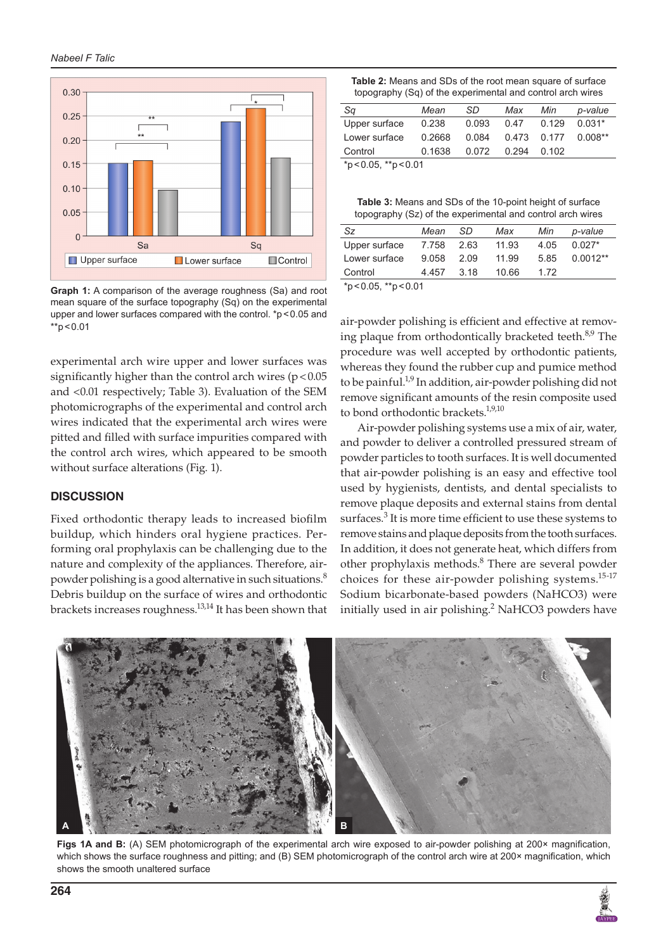

\*p<0.05, \*\*p<0.01 **Graph 1:** A comparison of the average roughness (Sa) and root mean square of the surface topography (Sq) on the experimental upper and lower surfaces compared with the control. \*p < 0.05 and  $*$ p < 0.01

experimental arch wire upper and lower surfaces was significantly higher than the control arch wires ( $p < 0.05$ ) and <0.01 respectively; Table 3). Evaluation of the SEM photomicrographs of the experimental and control arch wires indicated that the experimental arch wires were pitted and filled with surface impurities compared with the control arch wires, which appeared to be smooth without surface alterations (Fig. 1).

#### **DISCUSSION**

Fixed orthodontic therapy leads to increased biofilm buildup, which hinders oral hygiene practices. Performing oral prophylaxis can be challenging due to the nature and complexity of the appliances. Therefore, airpowder polishing is a good alternative in such situations.<sup>8</sup> Debris buildup on the surface of wires and orthodontic brackets increases roughness.13,14 It has been shown that

**Table 2:** Means and SDs of the root mean square of surface topography (Sq) of the experimental and control arch wires

| Sq                    | Mean   | .SD   | Max  | Min             | p-value   |  |
|-----------------------|--------|-------|------|-----------------|-----------|--|
| Upper surface         | 0.238  | 0.093 | 0.47 | 0.129           | $0.031*$  |  |
| Lower surface         | 0.2668 | 0.084 |      | 0.473 0.177     | $0.008**$ |  |
| Control               | 0.1638 | 0.072 |      | $0.294$ $0.102$ |           |  |
| $*p<0.05$ , $*p<0.01$ |        |       |      |                 |           |  |

**Table 3:** Means and SDs of the 10-point height of surface topography (Sz) of the experimental and control arch wires

| Sz.           | Mean  | - SD | Max   | Min  | p-value    |
|---------------|-------|------|-------|------|------------|
| Upper surface | 7.758 | 2.63 | 11.93 | 4.05 | $0.027*$   |
| Lower surface | 9.058 | 2.09 | 11.99 | 5.85 | $0.0012**$ |
| Control       | 4.457 | 3.18 | 10.66 | 1.72 |            |
|               |       |      |       |      |            |

air-powder polishing is efficient and effective at removing plaque from orthodontically bracketed teeth.<sup>8,9</sup> The procedure was well accepted by orthodontic patients, whereas they found the rubber cup and pumice method to be painful.<sup>1,9</sup> In addition, air-powder polishing did not remove significant amounts of the resin composite used to bond orthodontic brackets.<sup>1,9,10</sup>

Air-powder polishing systems use a mix of air, water, and powder to deliver a controlled pressured stream of powder particles to tooth surfaces. It is well documented that air-powder polishing is an easy and effective tool used by hygienists, dentists, and dental specialists to remove plaque deposits and external stains from dental surfaces.<sup>3</sup> It is more time efficient to use these systems to remove stains and plaque deposits from the tooth surfaces. In addition, it does not generate heat, which differs from other prophylaxis methods.<sup>8</sup> There are several powder choices for these air-powder polishing systems.<sup>15-17</sup> Sodium bicarbonate-based powders (NaHCO3) were initially used in air polishing.<sup>2</sup> NaHCO3 powders have



Figs 1A and B: (A) SEM photomicrograph of the experimental arch wire exposed to air-powder polishing at 200× magnification, which shows the surface roughness and pitting; and (B) SEM photomicrograph of the control arch wire at 200× magnification, which shows the smooth unaltered surface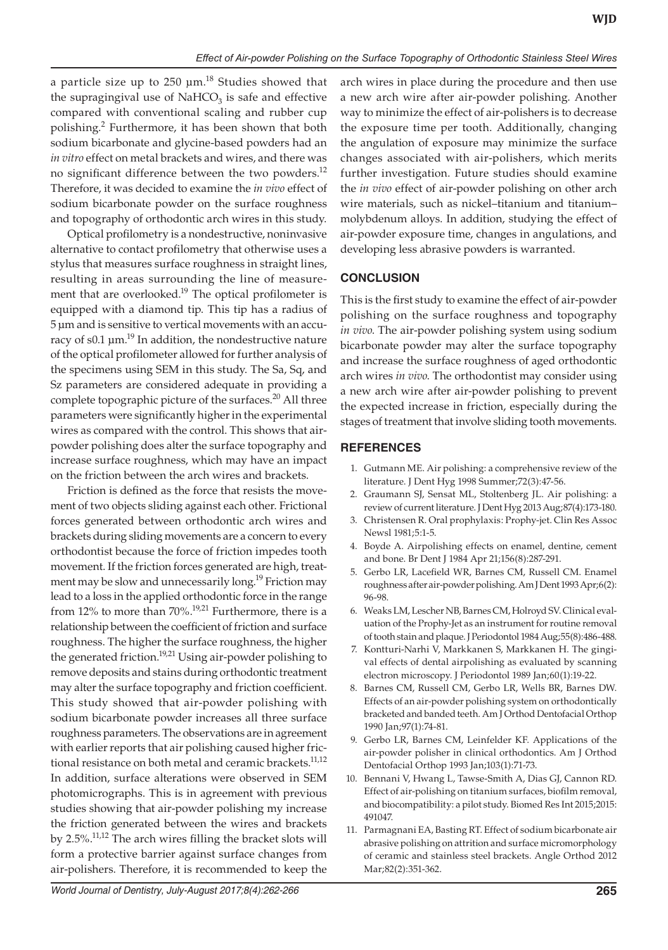a particle size up to  $250 \mu m$ .<sup>18</sup> Studies showed that the supragingival use of  $NAHCO<sub>3</sub>$  is safe and effective compared with conventional scaling and rubber cup polishing.<sup>2</sup> Furthermore, it has been shown that both sodium bicarbonate and glycine-based powders had an *in vitro* effect on metal brackets and wires, and there was no significant difference between the two powders.<sup>12</sup> Therefore, it was decided to examine the *in vivo* effect of sodium bicarbonate powder on the surface roughness and topography of orthodontic arch wires in this study.

Optical profilometry is a nondestructive, noninvasive alternative to contact profilometry that otherwise uses a stylus that measures surface roughness in straight lines, resulting in areas surrounding the line of measurement that are overlooked.<sup>19</sup> The optical profilometer is equipped with a diamond tip. This tip has a radius of 5 μm and is sensitive to vertical movements with an accuracy of s0.1  $\mu$ m.<sup>19</sup> In addition, the nondestructive nature of the optical profilometer allowed for further analysis of the specimens using SEM in this study. The Sa, Sq, and Sz parameters are considered adequate in providing a complete topographic picture of the surfaces.<sup>20</sup> All three parameters were significantly higher in the experimental wires as compared with the control. This shows that airpowder polishing does alter the surface topography and increase surface roughness, which may have an impact on the friction between the arch wires and brackets.

Friction is defined as the force that resists the movement of two objects sliding against each other. Frictional forces generated between orthodontic arch wires and brackets during sliding movements are a concern to every orthodontist because the force of friction impedes tooth movement. If the friction forces generated are high, treatment may be slow and unnecessarily long.<sup>19</sup> Friction may lead to a loss in the applied orthodontic force in the range from 12% to more than  $70\%$ .<sup>19,21</sup> Furthermore, there is a relationship between the coefficient of friction and surface roughness. The higher the surface roughness, the higher the generated friction.<sup>19,21</sup> Using air-powder polishing to remove deposits and stains during orthodontic treatment may alter the surface topography and friction coefficient. This study showed that air-powder polishing with sodium bicarbonate powder increases all three surface roughness parameters. The observations are in agreement with earlier reports that air polishing caused higher frictional resistance on both metal and ceramic brackets.<sup>11,12</sup> In addition, surface alterations were observed in SEM photomicrographs. This is in agreement with previous studies showing that air-powder polishing my increase the friction generated between the wires and brackets by 2.5%.11,12 The arch wires filling the bracket slots will form a protective barrier against surface changes from air-polishers. Therefore, it is recommended to keep the

arch wires in place during the procedure and then use a new arch wire after air-powder polishing. Another way to minimize the effect of air-polishers is to decrease the exposure time per tooth. Additionally, changing the angulation of exposure may minimize the surface changes associated with air-polishers, which merits further investigation. Future studies should examine the *in vivo* effect of air-powder polishing on other arch wire materials, such as nickel–titanium and titanium– molybdenum alloys. In addition, studying the effect of air-powder exposure time, changes in angulations, and developing less abrasive powders is warranted.

# **CONCLUSION**

This is the first study to examine the effect of air-powder polishing on the surface roughness and topography *in vivo*. The air-powder polishing system using sodium bicarbonate powder may alter the surface topography and increase the surface roughness of aged orthodontic arch wires *in vivo*. The orthodontist may consider using a new arch wire after air-powder polishing to prevent the expected increase in friction, especially during the stages of treatment that involve sliding tooth movements.

# **REFERENCES**

- 1. Gutmann ME. Air polishing: a comprehensive review of the literature. J Dent Hyg 1998 Summer;72(3):47-56.
- 2. Graumann SJ, Sensat ML, Stoltenberg JL. Air polishing: a review of current literature. J Dent Hyg 2013 Aug;87(4):173-180.
- 3. Christensen R. Oral prophylaxis: Prophy-jet. Clin Res Assoc Newsl 1981;5:1-5.
- 4. Boyde A. Airpolishing effects on enamel, dentine, cement and bone. Br Dent J 1984 Apr 21;156(8):287-291.
- 5. Gerbo LR, Lacefield WR, Barnes CM, Russell CM. Enamel roughness after air-powder polishing. Am J Dent 1993 Apr;6(2): 96-98.
- 6. Weaks LM, Lescher NB, Barnes CM, Holroyd SV. Clinical evaluation of the Prophy-Jet as an instrument for routine removal of tooth stain and plaque. J Periodontol 1984 Aug;55(8):486-488.
- 7. Kontturi-Narhi V, Markkanen S, Markkanen H. The gingival effects of dental airpolishing as evaluated by scanning electron microscopy. J Periodontol 1989 Jan;60(1):19-22.
- 8. Barnes CM, Russell CM, Gerbo LR, Wells BR, Barnes DW. Effects of an air-powder polishing system on orthodontically bracketed and banded teeth. Am J Orthod Dentofacial Orthop 1990 Jan;97(1):74-81.
- 9. Gerbo LR, Barnes CM, Leinfelder KF. Applications of the air-powder polisher in clinical orthodontics. Am J Orthod Dentofacial Orthop 1993 Jan;103(1):71-73.
- Bennani V, Hwang L, Tawse-Smith A, Dias GJ, Cannon RD. Effect of air-polishing on titanium surfaces, biofilm removal, and biocompatibility: a pilot study. Biomed Res Int 2015;2015: 491047.
- 11. Parmagnani EA, Basting RT. Effect of sodium bicarbonate air abrasive polishing on attrition and surface micromorphology of ceramic and stainless steel brackets. Angle Orthod 2012 Mar;82(2):351-362.